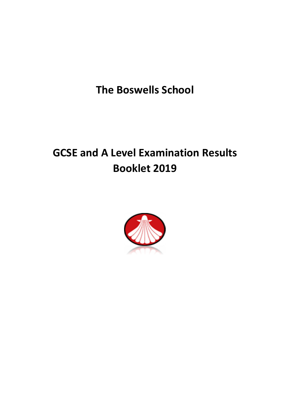**The Boswells School**

# **GCSE and A Level Examination Results Booklet 2019**

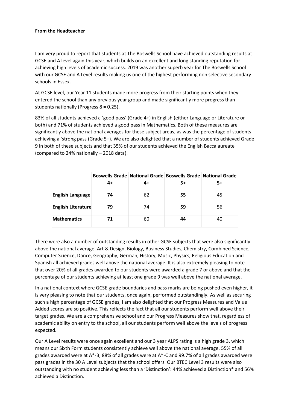#### **From the Headteacher**

I am very proud to report that students at The Boswells School have achieved outstanding results at GCSE and A level again this year, which builds on an excellent and long standing reputation for achieving high levels of academic success. 2019 was another superb year for The Boswells School with our GCSE and A Level results making us one of the highest performing non selective secondary schools in Essex.

At GCSE level, our Year 11 students made more progress from their starting points when they entered the school than any previous year group and made significantly more progress than students nationally (Progress 8 = 0.25).

83% of all students achieved a 'good pass' (Grade 4+) in English (either Language or Literature or both) and 71% of students achieved a good pass in Mathematics. Both of these measures are significantly above the national averages for these subject areas, as was the percentage of students achieving a 'strong pass (Grade 5+). We are also delighted that a number of students achieved Grade 9 in both of these subjects and that 35% of our students achieved the English Baccalaureate (compared to 24% nationally – 2018 data).

|                           |    | Boswells Grade   National Grade   Boswells Grade   National Grade |    |    |
|---------------------------|----|-------------------------------------------------------------------|----|----|
|                           | 4+ | 4+                                                                | 5+ | 5+ |
| <b>English Language</b>   | 74 | 62                                                                | 55 | 45 |
| <b>English Literature</b> | 79 | 74                                                                | 59 | 56 |
| <b>Mathematics</b>        | 71 | 60                                                                | 44 |    |

There were also a number of outstanding results in other GCSE subjects that were also significantly above the national average. Art & Design, Biology, Business Studies, Chemistry, Combined Science, Computer Science, Dance, Geography, German, History, Music, Physics, Religious Education and Spanish all achieved grades well above the national average. It is also extremely pleasing to note that over 20% of all grades awarded to our students were awarded a grade 7 or above and that the percentage of our students achieving at least one grade 9 was well above the national average.

In a national context where GCSE grade boundaries and pass marks are being pushed even higher, it is very pleasing to note that our students, once again, performed outstandingly. As well as securing such a high percentage of GCSE grades, I am also delighted that our Progress Measures and Value Added scores are so positive. This reflects the fact that all our students perform well above their target grades. We are a comprehensive school and our Progress Measures show that, regardless of academic ability on entry to the school, all our students perform well above the levels of progress expected.

Our A Level results were once again excellent and our 3 year ALPS rating is a high grade 3, which means our Sixth Form students consistently achieve well above the national average. 55% of all grades awarded were at A\*-B, 88% of all grades were at A\*-C and 99.7% of all grades awarded were pass grades in the 30 A Level subjects that the school offers. Our BTEC Level 3 results were also outstanding with no student achieving less than a 'Distinction': 44% achieved a Distinction\* and 56% achieved a Distinction.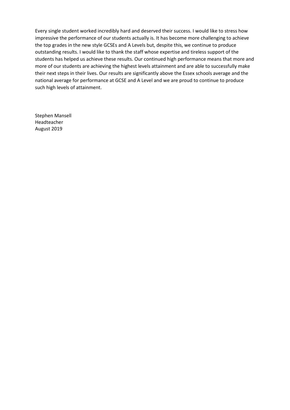Every single student worked incredibly hard and deserved their success. I would like to stress how impressive the performance of our students actually is. It has become more challenging to achieve the top grades in the new style GCSEs and A Levels but, despite this, we continue to produce outstanding results. I would like to thank the staff whose expertise and tireless support of the students has helped us achieve these results. Our continued high performance means that more and more of our students are achieving the highest levels attainment and are able to successfully make their next steps in their lives. Our results are significantly above the Essex schools average and the national average for performance at GCSE and A Level and we are proud to continue to produce such high levels of attainment.

Stephen Mansell Headteacher August 2019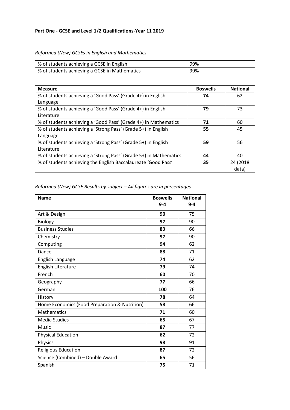## *Reformed (New) GCSEs in English and Mathematics*

| % of students achieving a GCSE in English     | 99% |
|-----------------------------------------------|-----|
| % of students achieving a GCSE in Mathematics | 99% |

| <b>Measure</b>                                                    | <b>Boswells</b> | <b>National</b> |
|-------------------------------------------------------------------|-----------------|-----------------|
| % of students achieving a 'Good Pass' (Grade 4+) in English       | 74              | 62              |
| Language                                                          |                 |                 |
| % of students achieving a 'Good Pass' (Grade 4+) in English       | 79              | 73              |
| Literature                                                        |                 |                 |
| % of students achieving a 'Good Pass' (Grade 4+) in Mathematics   | 71              | 60              |
| % of students achieving a 'Strong Pass' (Grade 5+) in English     | 55              | 45              |
| Language                                                          |                 |                 |
| % of students achieving a 'Strong Pass' (Grade 5+) in English     | 59              | 56              |
| Literature                                                        |                 |                 |
| % of students achieving a 'Strong Pass' (Grade 5+) in Mathematics | 44              | 40              |
| % of students achieving the English Baccalaureate 'Good Pass'     | 35              | 24 (2018        |
|                                                                   |                 | data)           |

## *Reformed (New) GCSE Results by subject – All figures are in percentages*

| <b>Name</b>                                   | <b>Boswells</b><br>$9 - 4$ | <b>National</b><br>$9 - 4$ |
|-----------------------------------------------|----------------------------|----------------------------|
|                                               |                            |                            |
| Art & Design                                  | 90                         | 75                         |
| <b>Biology</b>                                | 97                         | 90                         |
| <b>Business Studies</b>                       | 83                         | 66                         |
| Chemistry                                     | 97                         | 90                         |
| Computing                                     | 94                         | 62                         |
| Dance                                         | 88                         | 71                         |
| English Language                              | 74                         | 62                         |
| English Literature                            | 79                         | 74                         |
| French                                        | 60                         | 70                         |
| Geography                                     | 77                         | 66                         |
| German                                        | 100                        | 76                         |
| History                                       | 78                         | 64                         |
| Home Economics (Food Preparation & Nutrition) | 58                         | 66                         |
| <b>Mathematics</b>                            | 71                         | 60                         |
| Media Studies                                 | 65                         | 67                         |
| <b>Music</b>                                  | 87                         | 77                         |
| <b>Physical Education</b>                     | 62                         | 72                         |
| Physics                                       | 98                         | 91                         |
| <b>Religious Education</b>                    | 87                         | 72                         |
| Science (Combined) - Double Award             | 65                         | 56                         |
| Spanish                                       | 75                         | 71                         |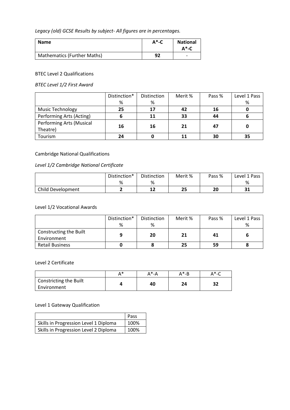*Legacy (old) GCSE Results by subject- All figures are in percentages.*

| <b>Name</b>                        | $A^*$ -C | <b>National</b><br>$A^*$ -C |
|------------------------------------|----------|-----------------------------|
| <b>Mathematics (Further Maths)</b> | 92       | $\overline{\phantom{0}}$    |

#### BTEC Level 2 Qualifications

*BTEC Level 1/2 First Award*

|                                 | Distinction* | Distinction | Merit % | Pass % | Level 1 Pass |
|---------------------------------|--------------|-------------|---------|--------|--------------|
|                                 | %            | %           |         |        | %            |
| <b>Music Technology</b>         | 25           | 17          | 42      | 16     |              |
| Performing Arts (Acting)        |              | 11          | 33      | 44     |              |
| <b>Performing Arts (Musical</b> |              | 16          | 21      | 47     |              |
| Theatre)                        | 16           |             |         |        |              |
| Tourism                         | 24           |             |         | 30     | 35           |

## Cambridge National Qualifications

## *Level 1/2 Cambridge National Certificate*

|                   | Distinction* | <b>Distinction</b> | Merit % | Pass % | Level 1 Pass |
|-------------------|--------------|--------------------|---------|--------|--------------|
|                   | %            | %                  |         |        | %            |
| Child Development | -            | 1.7<br>∸∸          | 25      | 20     | 91<br>JТ     |

## Level 1/2 Vocational Awards

|                        | Distinction* | <b>Distinction</b> | Merit % | Pass % | Level 1 Pass |
|------------------------|--------------|--------------------|---------|--------|--------------|
|                        | %            | ℅                  |         |        | %            |
| Constructing the Built |              | 20                 | 21      | 41     |              |
| Environment            |              |                    |         |        |              |
| <b>Retail Business</b> |              |                    | 25      | 59     |              |

#### Level 2 Certificate

|                                       | * ∧ | A*-A | A*-B         | $\Delta$ *-C |
|---------------------------------------|-----|------|--------------|--------------|
| Constricting the Built<br>Environment |     | 40   | $\mathbf{z}$ | າາ<br>∍∠     |

### Level 1 Gateway Qualification

|                                       | Pass |
|---------------------------------------|------|
| Skills in Progression Level 1 Diploma | 100% |
| Skills in Progression Level 2 Diploma | 100% |